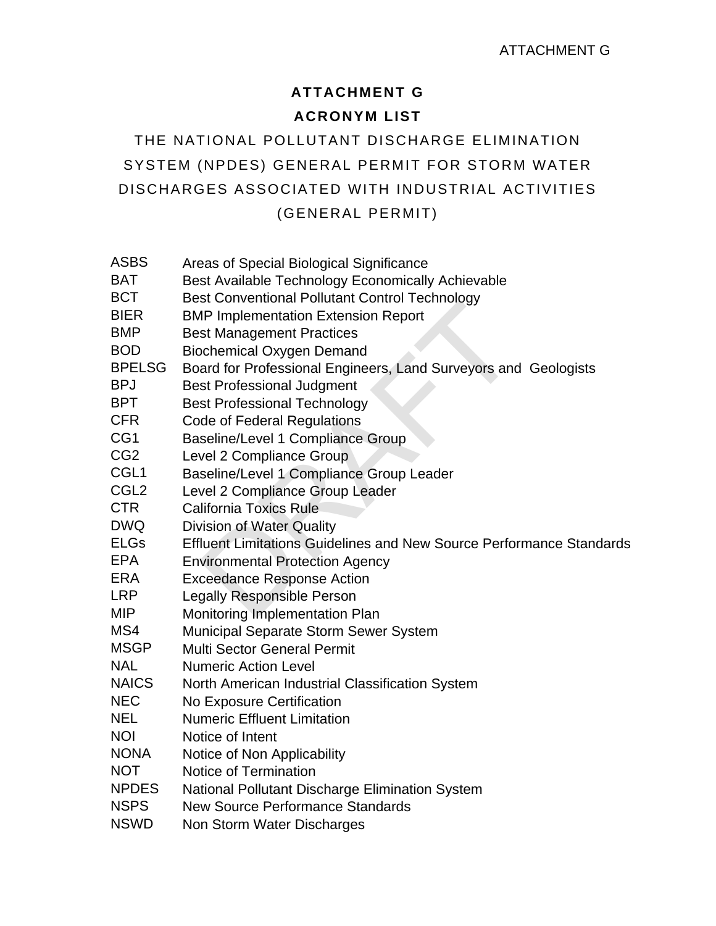## **ATTACHMENT G ACRONYM LIST**

THE NATIONAL POLLUTANT DISCHARGE ELIMINATION SYSTEM (NPDES) GENERAL PERMIT FOR STORM WATER DISCHARGES ASSOCIATED WITH INDUSTRIAL ACTIVITIES (GENERAL PERMIT)

| ASBS |  |  |  |  | Areas of Special Biological Significance |  |
|------|--|--|--|--|------------------------------------------|--|
|      |  |  |  |  |                                          |  |

- BAT Best Available Technology Economically Achievable
- BCT Best Conventional Pollutant Control Technology
- BIER BMP Implementation Extension Report
- **BMP** Best Management Practices
- BOD Biochemical Oxygen Demand
- BPELSG Board for Professional Engineers, Land Surveyors and Geologists
- BPJ Best Professional Judgment
- BPT Best Professional Technology
- CFR Code of Federal Regulations
- CG1 Baseline/Level 1 Compliance Group
- CG2 Level 2 Compliance Group
- CGL1 Baseline/Level 1 Compliance Group Leader
- CGL2 Level 2 Compliance Group Leader
- CTR California Toxics Rule
- DWQ Division of Water Quality
- The Implementation Extension Report<br>
The Implementation Extension Report<br>
St Management Practices<br>
ochemical Oxygen Demand<br>
ard for Professional Engineers, Land Surveyors and<br>
st Professional Technology<br>
de of Federal Regu ELGs Effluent Limitations Guidelines and New Source Performance Standards
- EPA Environmental Protection Agency
- ERA Exceedance Response Action
- LRP Legally Responsible Person
- MIP Monitoring Implementation Plan
- MS4 Municipal Separate Storm Sewer System
- MSGP Multi Sector General Permit
- NAL Numeric Action Level
- NAICS North American Industrial Classification System
- NEC No Exposure Certification
- NEL Numeric Effluent Limitation
- NOI Notice of Intent
- NONA Notice of Non Applicability
- NOT Notice of Termination
- NPDES National Pollutant Discharge Elimination System
- NSPS New Source Performance Standards
- NSWD Non Storm Water Discharges